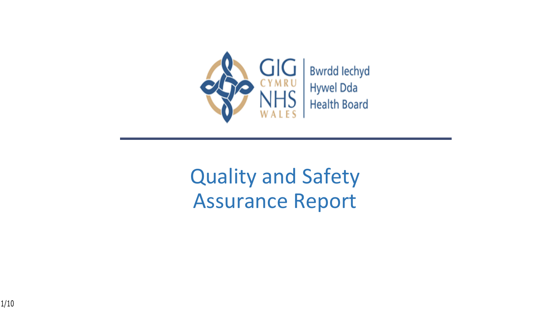

## Quality and Safety Assurance Report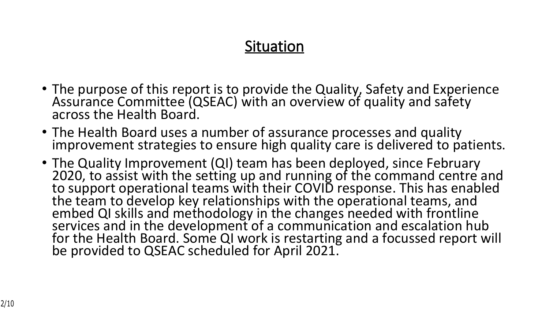#### **Situation**

- The purpose of this report is to provide the Quality, Safety and Experience Assurance Committee (QSEAC) with an overview of quality and safety across the Health Board.
- The Health Board uses a number of assurance processes and quality improvement strategies to ensure high quality care is delivered to patients.
- The Quality Improvement (QI) team has been deployed, since February 2020, to assist with the setting up and running of the command centre and to support operational teams with their COVID response. This has enabled the team to develop key relationships with the operational teams, and embed QI skills and methodology in the changes needed with frontline services and in the development of a communication and escalation hub for the Health Board. Some QI work is restarting and a focussed report will be provided to QSEAC scheduled for April 2021.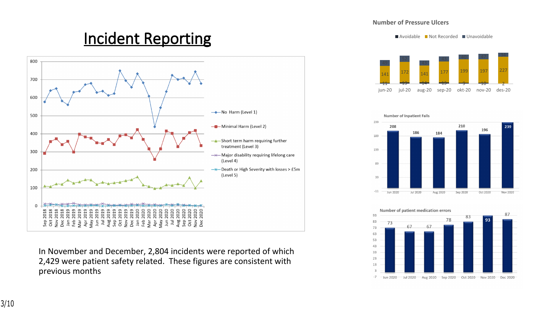#### **Incident Reporting**



In November and December, 2,804 incidents were reported of which 2,429 were patient safety related. These figures are consistent with previous months

#### **Number of Pressure Ulcers**

■ Avoidable ■ Not Recorded ■ Unavoidable





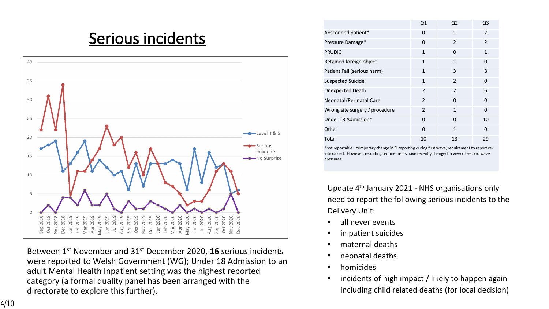#### **Serious incidents**



Between 1st November and 31st December 2020, **16** serious incidents were reported to Welsh Government (WG); Under 18 Admission to an adult Mental Health Inpatient setting was the highest reported category (a formal quality panel has been arranged with the directorate to explore this further).

|                                | Q1             | Q <sub>2</sub> | Q3             |
|--------------------------------|----------------|----------------|----------------|
| Absconded patient*             | $\Omega$       | 1              | $\mathcal{P}$  |
| Pressure Damage*               | $\Omega$       | $\mathcal{P}$  | $\mathfrak{p}$ |
| <b>PRUDIC</b>                  | 1              | $\Omega$       | 1              |
| Retained foreign object        | $\mathbf{1}$   | 1              | 0              |
| Patient Fall (serious harm)    | 1              | 3              | 8              |
| <b>Suspected Suicide</b>       | 1              | $\mathcal{P}$  | $\Omega$       |
| <b>Unexpected Death</b>        | $\mathfrak{p}$ | $\mathfrak{p}$ | 6              |
| Neonatal/Perinatal Care        | $\mathfrak{p}$ | $\Omega$       | $\Omega$       |
| Wrong site surgery / procedure | $\mathfrak{p}$ | 1              | $\Omega$       |
| Under 18 Admission*            | $\Omega$       | 0              | 10             |
| Other                          | $\Omega$       | 1              | $\Omega$       |
| Total                          | 10             | 13             | 29             |

\*not reportable – temporary change in SI reporting during first wave, requirement to report reintroduced. However, reporting requirements have recently changed in view of second wave pressures

Update 4th January 2021 - NHS organisations only need to report the following serious incidents to the Delivery Unit:

- all never events
- in patient suicides
- maternal deaths
- neonatal deaths
- homicides
- incidents of high impact / likely to happen again including child related deaths (for local decision)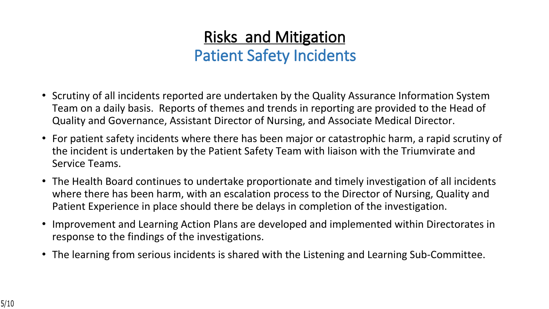### **Risks and Mitigation Patient Safety Incidents**

- Scrutiny of all incidents reported are undertaken by the Quality Assurance Information System Team on a daily basis. Reports of themes and trends in reporting are provided to the Head of Quality and Governance, Assistant Director of Nursing, and Associate Medical Director.
- For patient safety incidents where there has been major or catastrophic harm, a rapid scrutiny of the incident is undertaken by the Patient Safety Team with liaison with the Triumvirate and Service Teams.
- The Health Board continues to undertake proportionate and timely investigation of all incidents where there has been harm, with an escalation process to the Director of Nursing, Quality and Patient Experience in place should there be delays in completion of the investigation.
- Improvement and Learning Action Plans are developed and implemented within Directorates in response to the findings of the investigations.
- The learning from serious incidents is shared with the Listening and Learning Sub-Committee.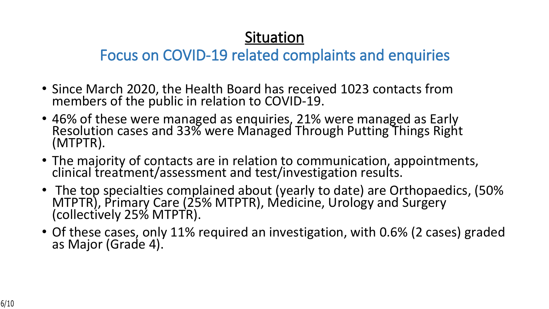#### **Situation**

#### **Focus on COVID-19 related complaints and enquiries**

- Since March 2020, the Health Board has received 1023 contacts from members of the public in relation to COVID-19.
- 46% of these were managed as enquiries, 21% were managed as Early Resolution cases and 33% were Managed Through Putting Things Right (MTPTR).
- The majority of contacts are in relation to communication, appointments, clinical treatment/assessment and test/investigation results.
- The top specialties complained about (yearly to date) are Orthopaedics, (50% MTPTR), Primary Care (25% MTPTR), Medicine, Urology and Surgery (collectively 25% MTPTR).
- Of these cases, only 11% required an investigation, with 0.6% (2 cases) graded as Major (Grade 4).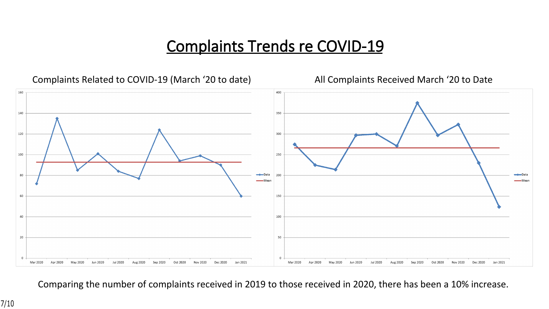#### **Complaints Trends re COVID-19**



Comparing the number of complaints received in 2019 to those received in 2020, there has been a 10% increase.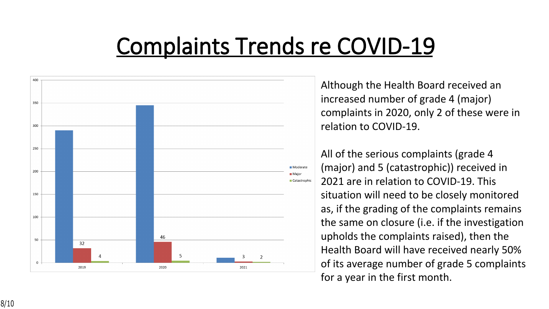# **Complaints Trends re COVID-19**



Although the Health Board received an increased number of grade 4 (major) complaints in 2020, only 2 of these were in relation to COVID-19.

All of the serious complaints (grade 4 (major) and 5 (catastrophic)) received in 2021 are in relation to COVID-19. This situation will need to be closely monitored as, if the grading of the complaints remains the same on closure (i.e. if the investigation upholds the complaints raised), then the Health Board will have received nearly 50% of its average number of grade 5 complaints for a year in the first month.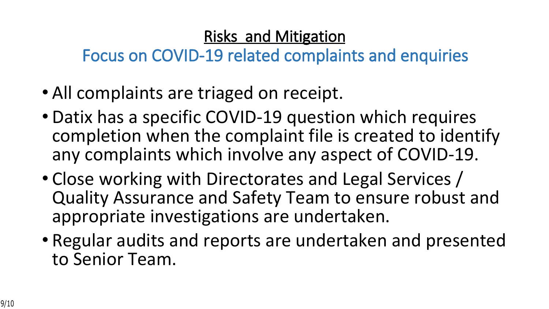#### **Risks and Mitigation**

**Focus on COVID-19 related complaints and enquiries**

- All complaints are triaged on receipt.
- Datix has a specific COVID-19 question which requires completion when the complaint file is created to identify any complaints which involve any aspect of COVID-19.
- Close working with Directorates and Legal Services / Quality Assurance and Safety Team to ensure robust and appropriate investigations are undertaken.
- Regular audits and reports are undertaken and presented to Senior Team.